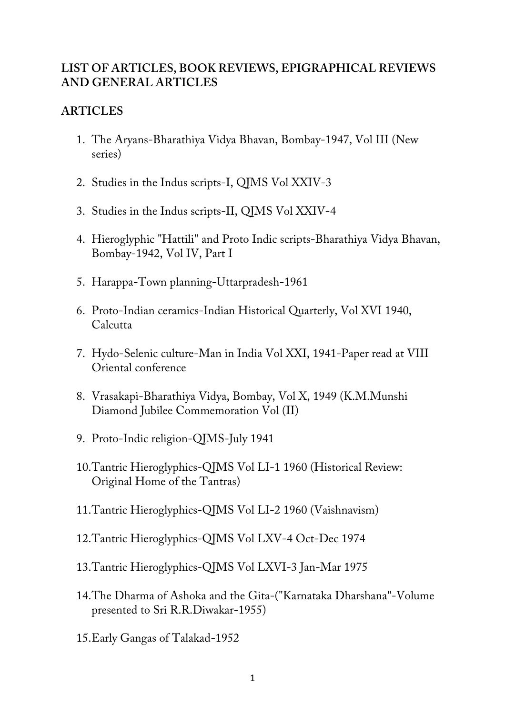## **LIST OF ARTICLES, BOOK REVIEWS, EPIGRAPHICAL REVIEWS AND GENERAL ARTICLES**

# **ARTICLES**

- 1. The Aryans-Bharathiya Vidya Bhavan, Bombay-1947, Vol III (New series)
- 2. Studies in the Indus scripts-I, QJMS Vol XXIV-3
- 3. Studies in the Indus scripts-II, QJMS Vol XXIV-4
- 4. Hieroglyphic "Hattili" and Proto Indic scripts-Bharathiya Vidya Bhavan, Bombay-1942, Vol IV, Part I
- 5. Harappa-Town planning-Uttarpradesh-1961
- 6. Proto-Indian ceramics-Indian Historical Quarterly, Vol XVI 1940, **Calcutta**
- 7. Hydo-Selenic culture-Man in India Vol XXI, 1941-Paper read at VIII Oriental conference
- 8. Vrasakapi-Bharathiya Vidya, Bombay, Vol X, 1949 (K.M.Munshi Diamond Jubilee Commemoration Vol (II)
- 9. Proto-Indic religion-QJMS-July 1941
- 10.Tantric Hieroglyphics-QJMS Vol LI-1 1960 (Historical Review: Original Home of the Tantras)
- 11.Tantric Hieroglyphics-QJMS Vol LI-2 1960 (Vaishnavism)
- 12.Tantric Hieroglyphics-QJMS Vol LXV-4 Oct-Dec 1974
- 13.Tantric Hieroglyphics-QJMS Vol LXVI-3 Jan-Mar 1975
- 14.The Dharma of Ashoka and the Gita-("Karnataka Dharshana"-Volume presented to Sri R.R.Diwakar-1955)
- 15.Early Gangas of Talakad-1952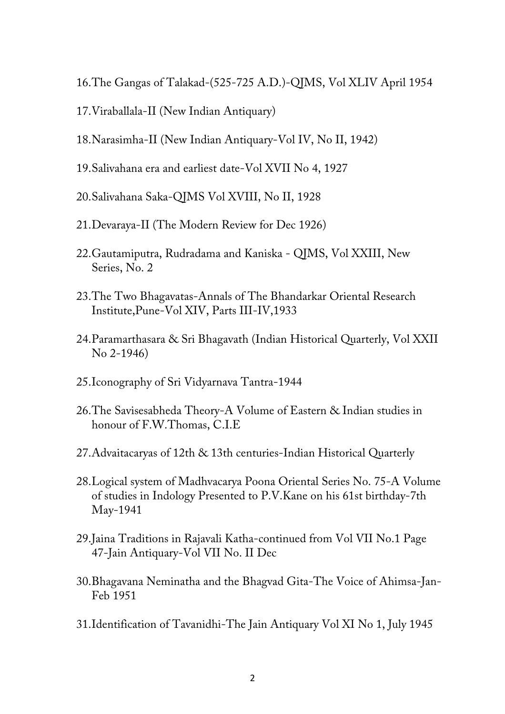- 16.The Gangas of Talakad-(525-725 A.D.)-QJMS, Vol XLIV April 1954
- 17.Viraballala-II (New Indian Antiquary)
- 18.Narasimha-II (New Indian Antiquary-Vol IV, No II, 1942)
- 19.Salivahana era and earliest date-Vol XVII No 4, 1927
- 20.Salivahana Saka-QJMS Vol XVIII, No II, 1928
- 21.Devaraya-II (The Modern Review for Dec 1926)
- 22.Gautamiputra, Rudradama and Kaniska QJMS, Vol XXIII, New Series, No. 2
- 23.The Two Bhagavatas-Annals of The Bhandarkar Oriental Research Institute,Pune-Vol XIV, Parts III-IV,1933
- 24.Paramarthasara & Sri Bhagavath (Indian Historical Quarterly, Vol XXII No 2-1946)
- 25.Iconography of Sri Vidyarnava Tantra-1944
- 26.The Savisesabheda Theory-A Volume of Eastern & Indian studies in honour of F.W.Thomas, C.I.E
- 27.Advaitacaryas of 12th & 13th centuries-Indian Historical Quarterly
- 28.Logical system of Madhvacarya Poona Oriental Series No. 75-A Volume of studies in Indology Presented to P.V.Kane on his 61st birthday-7th May-1941
- 29.Jaina Traditions in Rajavali Katha-continued from Vol VII No.1 Page 47-Jain Antiquary-Vol VII No. II Dec
- 30.Bhagavana Neminatha and the Bhagvad Gita-The Voice of Ahimsa-Jan-Feb 1951
- 31.Identification of Tavanidhi-The Jain Antiquary Vol XI No 1, July 1945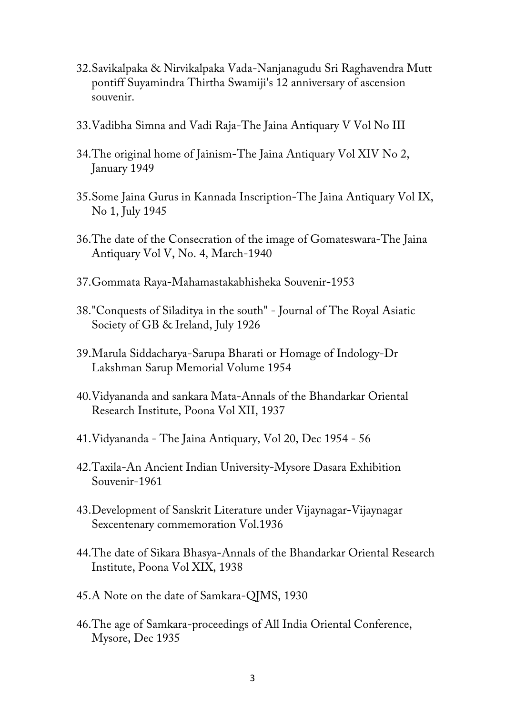- 32.Savikalpaka & Nirvikalpaka Vada-Nanjanagudu Sri Raghavendra Mutt pontiff Suyamindra Thirtha Swamiji's 12 anniversary of ascension souvenir.
- 33.Vadibha Simna and Vadi Raja-The Jaina Antiquary V Vol No III
- 34.The original home of Jainism-The Jaina Antiquary Vol XIV No 2, January 1949
- 35.Some Jaina Gurus in Kannada Inscription-The Jaina Antiquary Vol IX, No 1, July 1945
- 36.The date of the Consecration of the image of Gomateswara-The Jaina Antiquary Vol V, No. 4, March-1940
- 37.Gommata Raya-Mahamastakabhisheka Souvenir-1953
- 38."Conquests of Siladitya in the south" Journal of The Royal Asiatic Society of GB & Ireland, July 1926
- 39.Marula Siddacharya-Sarupa Bharati or Homage of Indology-Dr Lakshman Sarup Memorial Volume 1954
- 40.Vidyananda and sankara Mata-Annals of the Bhandarkar Oriental Research Institute, Poona Vol XII, 1937
- 41.Vidyananda The Jaina Antiquary, Vol 20, Dec 1954 56
- 42.Taxila-An Ancient Indian University-Mysore Dasara Exhibition Souvenir-1961
- 43.Development of Sanskrit Literature under Vijaynagar-Vijaynagar Sexcentenary commemoration Vol.1936
- 44.The date of Sikara Bhasya-Annals of the Bhandarkar Oriental Research Institute, Poona Vol XIX, 1938
- 45.A Note on the date of Samkara-QJMS, 1930
- 46.The age of Samkara-proceedings of All India Oriental Conference, Mysore, Dec 1935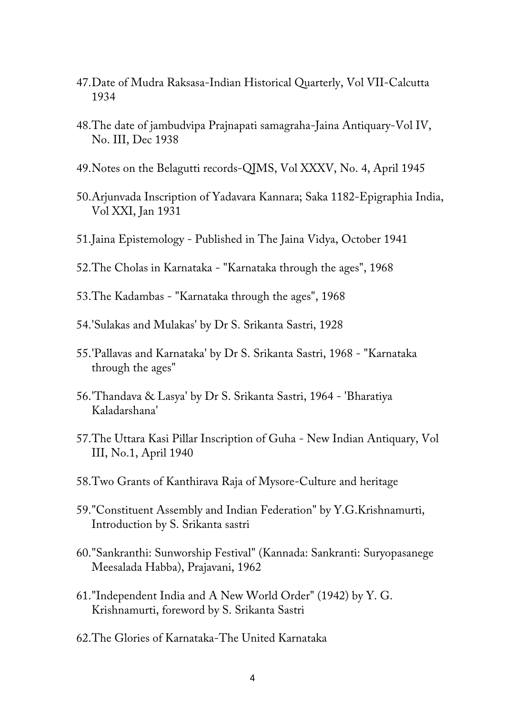- 47.Date of Mudra Raksasa-Indian Historical Quarterly, Vol VII-Calcutta 1934
- 48.The date of jambudvipa Prajnapati samagraha-Jaina Antiquary-Vol IV, No. III, Dec 1938
- 49.Notes on the Belagutti records-QJMS, Vol XXXV, No. 4, April 1945
- 50.Arjunvada Inscription of Yadavara Kannara; Saka 1182-Epigraphia India, Vol XXI, Jan 1931
- 51.Jaina Epistemology Published in The Jaina Vidya, October 1941
- 52.The Cholas in Karnataka "Karnataka through the ages", 1968
- 53.The Kadambas "Karnataka through the ages", 1968
- 54.'Sulakas and Mulakas' by Dr S. Srikanta Sastri, 1928
- 55.'Pallavas and Karnataka' by Dr S. Srikanta Sastri, 1968 "Karnataka through the ages"
- 56.'Thandava & Lasya' by Dr S. Srikanta Sastri, 1964 'Bharatiya Kaladarshana'
- 57.The Uttara Kasi Pillar Inscription of Guha New Indian Antiquary, Vol III, No.1, April 1940
- 58.Two Grants of Kanthirava Raja of Mysore-Culture and heritage
- 59."Constituent Assembly and Indian Federation" by Y.G.Krishnamurti, Introduction by S. Srikanta sastri
- 60."Sankranthi: Sunworship Festival" (Kannada: Sankranti: Suryopasanege Meesalada Habba), Prajavani, 1962
- 61."Independent India and A New World Order" (1942) by Y. G. Krishnamurti, foreword by S. Srikanta Sastri
- 62.The Glories of Karnataka-The United Karnataka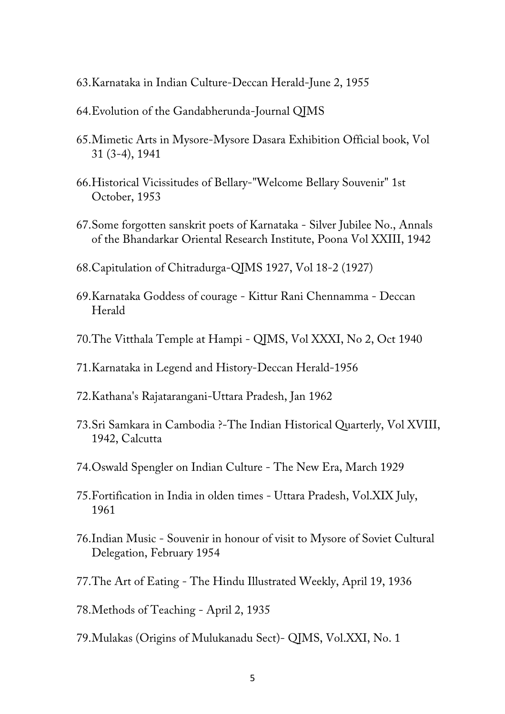- 63.Karnataka in Indian Culture-Deccan Herald-June 2, 1955
- 64.Evolution of the Gandabherunda-Journal QJMS
- 65.Mimetic Arts in Mysore-Mysore Dasara Exhibition Official book, Vol 31 (3-4), 1941
- 66.Historical Vicissitudes of Bellary-"Welcome Bellary Souvenir" 1st October, 1953
- 67.Some forgotten sanskrit poets of Karnataka Silver Jubilee No., Annals of the Bhandarkar Oriental Research Institute, Poona Vol XXIII, 1942
- 68.Capitulation of Chitradurga-QJMS 1927, Vol 18-2 (1927)
- 69.Karnataka Goddess of courage Kittur Rani Chennamma Deccan Herald
- 70.The Vitthala Temple at Hampi QJMS, Vol XXXI, No 2, Oct 1940
- 71.Karnataka in Legend and History-Deccan Herald-1956
- 72.Kathana's Rajatarangani-Uttara Pradesh, Jan 1962
- 73.Sri Samkara in Cambodia ?-The Indian Historical Quarterly, Vol XVIII, 1942, Calcutta
- 74.Oswald Spengler on Indian Culture The New Era, March 1929
- 75.Fortification in India in olden times Uttara Pradesh, Vol.XIX July, 1961
- 76.Indian Music Souvenir in honour of visit to Mysore of Soviet Cultural Delegation, February 1954
- 77.The Art of Eating The Hindu Illustrated Weekly, April 19, 1936
- 78.Methods of Teaching April 2, 1935
- 79.Mulakas (Origins of Mulukanadu Sect)- QJMS, Vol.XXI, No. 1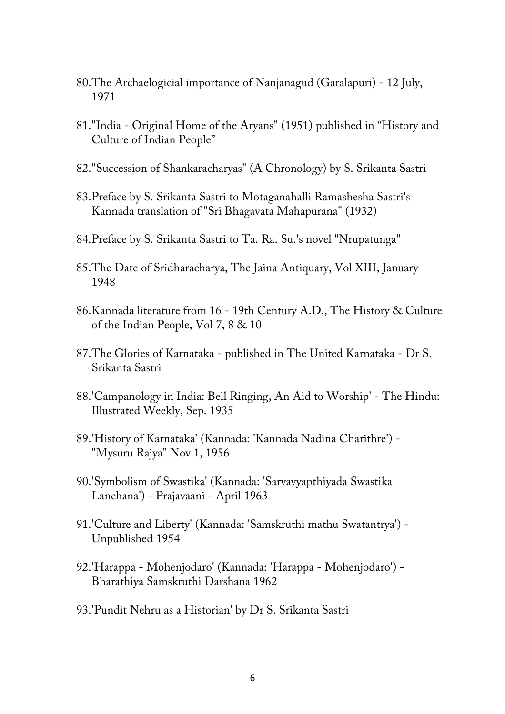- 80.The Archaelogicial importance of Nanjanagud (Garalapuri) 12 July, 1971
- 81."India Original Home of the Aryans" (1951) published in "History and Culture of Indian People"
- 82."Succession of Shankaracharyas" (A Chronology) by S. Srikanta Sastri
- 83.Preface by S. Srikanta Sastri to Motaganahalli Ramashesha Sastri's Kannada translation of "Sri Bhagavata Mahapurana" (1932)
- 84.Preface by S. Srikanta Sastri to Ta. Ra. Su.'s novel "Nrupatunga"
- 85.The Date of Sridharacharya, The Jaina Antiquary, Vol XIII, January 1948
- 86.Kannada literature from 16 19th Century A.D., The History & Culture of the Indian People, Vol 7, 8 & 10
- 87.The Glories of Karnataka published in The United Karnataka Dr S. Srikanta Sastri
- 88.'Campanology in India: Bell Ringing, An Aid to Worship' The Hindu: Illustrated Weekly, Sep. 1935
- 89.'History of Karnataka' (Kannada: 'Kannada Nadina Charithre') "Mysuru Rajya" Nov 1, 1956
- 90.'Symbolism of Swastika' (Kannada: 'Sarvavyapthiyada Swastika Lanchana') - Prajavaani - April 1963
- 91.'Culture and Liberty' (Kannada: 'Samskruthi mathu Swatantrya') Unpublished 1954
- 92.'Harappa Mohenjodaro' (Kannada: 'Harappa Mohenjodaro') Bharathiya Samskruthi Darshana 1962
- 93.'Pundit Nehru as a Historian' by Dr S. Srikanta Sastri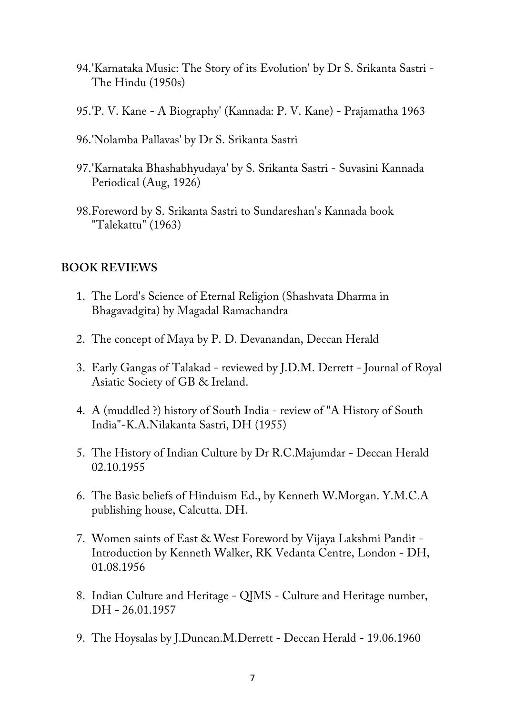- 94.'Karnataka Music: The Story of its Evolution' by Dr S. Srikanta Sastri The Hindu (1950s)
- 95.'P. V. Kane A Biography' (Kannada: P. V. Kane) Prajamatha 1963
- 96.'Nolamba Pallavas' by Dr S. Srikanta Sastri
- 97.'Karnataka Bhashabhyudaya' by S. Srikanta Sastri Suvasini Kannada Periodical (Aug, 1926)
- 98.Foreword by S. Srikanta Sastri to Sundareshan's Kannada book "Talekattu" (1963)

## **BOOK REVIEWS**

- 1. The Lord's Science of Eternal Religion (Shashvata Dharma in Bhagavadgita) by Magadal Ramachandra
- 2. The concept of Maya by P. D. Devanandan, Deccan Herald
- 3. Early Gangas of Talakad reviewed by J.D.M. Derrett Journal of Royal Asiatic Society of GB & Ireland.
- 4. A (muddled ?) history of South India review of "A History of South India"-K.A.Nilakanta Sastri, DH (1955)
- 5. The History of Indian Culture by Dr R.C.Majumdar Deccan Herald 02.10.1955
- 6. The Basic beliefs of Hinduism Ed., by Kenneth W.Morgan. Y.M.C.A publishing house, Calcutta. DH.
- 7. Women saints of East & West Foreword by Vijaya Lakshmi Pandit Introduction by Kenneth Walker, RK Vedanta Centre, London - DH, 01.08.1956
- 8. Indian Culture and Heritage QJMS Culture and Heritage number, DH - 26.01.1957
- 9. The Hoysalas by J.Duncan.M.Derrett Deccan Herald 19.06.1960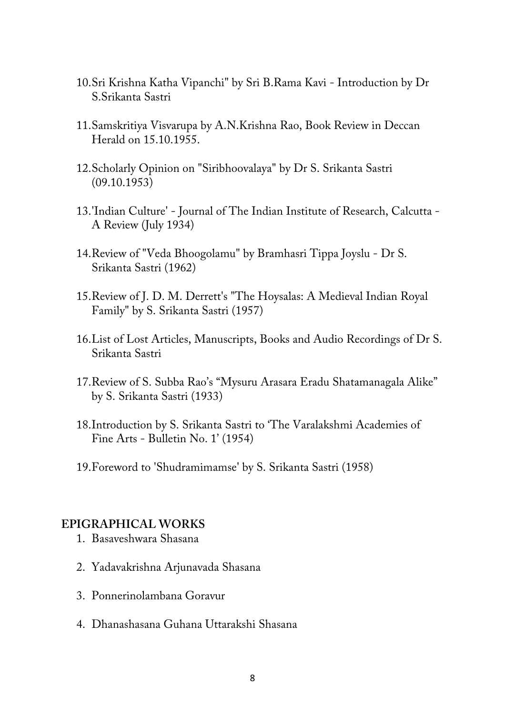- 10.Sri Krishna Katha Vipanchi" by Sri B.Rama Kavi Introduction by Dr S.Srikanta Sastri
- 11.Samskritiya Visvarupa by A.N.Krishna Rao, Book Review in Deccan Herald on 15.10.1955.
- 12.Scholarly Opinion on "Siribhoovalaya" by Dr S. Srikanta Sastri (09.10.1953)
- 13.'Indian Culture' Journal of The Indian Institute of Research, Calcutta A Review (July 1934)
- 14.Review of "Veda Bhoogolamu" by Bramhasri Tippa Joyslu Dr S. Srikanta Sastri (1962)
- 15.Review of J. D. M. Derrett's "The Hoysalas: A Medieval Indian Royal Family" by S. Srikanta Sastri (1957)
- 16.List of Lost Articles, Manuscripts, Books and Audio Recordings of Dr S. Srikanta Sastri
- 17.Review of S. Subba Rao's "Mysuru Arasara Eradu Shatamanagala Alike" by S. Srikanta Sastri (1933)
- 18.Introduction by S. Srikanta Sastri to 'The Varalakshmi Academies of Fine Arts - Bulletin No. 1' (1954)
- 19.Foreword to 'Shudramimamse' by S. Srikanta Sastri (1958)

#### **EPIGRAPHICAL WORKS**

- 1. Basaveshwara Shasana
- 2. Yadavakrishna Arjunavada Shasana
- 3. Ponnerinolambana Goravur
- 4. Dhanashasana Guhana Uttarakshi Shasana